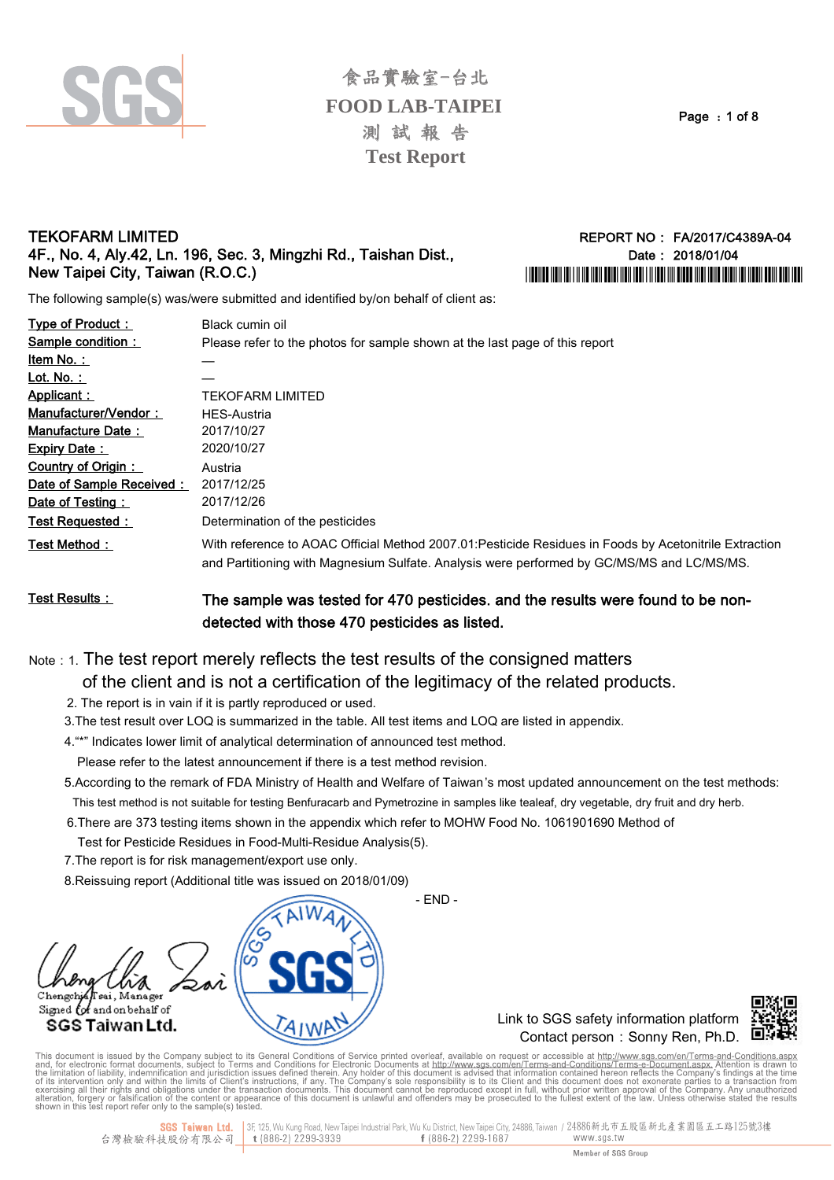

Page: 1 of 8

### **TEKOFARM LIMITED** 4F., No. 4, Aly.42, Ln. 196, Sec. 3, Mingzhi Rd., Taishan Dist.. New Taipei City, Taiwan (R.O.C.)

REPORT NO: FA/2017/C4389A-04 Date: 2018/01/04 I IODINIO INDI INI INI INI INDI DOMI INDI INDI INI INDI INI DUBU INI INDI DI INI INDI INDI INDI DINI DIRI IND

The following sample(s) was/were submitted and identified by/on behalf of client as:

| Type of Product:         | Black cumin oil                                                                                                                                                                                      |
|--------------------------|------------------------------------------------------------------------------------------------------------------------------------------------------------------------------------------------------|
| Sample condition:        | Please refer to the photos for sample shown at the last page of this report                                                                                                                          |
| <u>ltem No. : </u>       |                                                                                                                                                                                                      |
| Lot. No. :               |                                                                                                                                                                                                      |
| Applicant:               | TEKOFARM LIMITED                                                                                                                                                                                     |
| Manufacturer/Vendor:     | <b>HES-Austria</b>                                                                                                                                                                                   |
| Manufacture Date:        | 2017/10/27                                                                                                                                                                                           |
| <b>Expiry Date:</b>      | 2020/10/27                                                                                                                                                                                           |
| Country of Origin:       | Austria                                                                                                                                                                                              |
| Date of Sample Received: | 2017/12/25                                                                                                                                                                                           |
| Date of Testing:         | 2017/12/26                                                                                                                                                                                           |
| Test Requested:          | Determination of the pesticides                                                                                                                                                                      |
| Test Method :            | With reference to AOAC Official Method 2007.01: Pesticide Residues in Foods by Acetonitrile Extraction<br>and Partitioning with Magnesium Sulfate. Analysis were performed by GC/MS/MS and LC/MS/MS. |

#### **Test Results:** The sample was tested for 470 pesticides, and the results were found to be nondetected with those 470 pesticides as listed.

Note : 1. The test report merely reflects the test results of the consigned matters

- of the client and is not a certification of the legitimacy of the related products.
- 2. The report is in vain if it is partly reproduced or used.
- 3. The test result over LOQ is summarized in the table. All test items and LOQ are listed in appendix.
- 4."\*" Indicates lower limit of analytical determination of announced test method.
	- Please refer to the latest announcement if there is a test method revision.
- 5. According to the remark of FDA Ministry of Health and Welfare of Taiwan's most updated announcement on the test methods: This test method is not suitable for testing Benfuracarb and Pymetrozine in samples like tealeaf, dry vegetable, dry fruit and dry herb.

 $-$  END  $-$ 

- 6. There are 373 testing items shown in the appendix which refer to MOHW Food No. 1061901690 Method of
	- Test for Pesticide Residues in Food-Multi-Residue Analysis(5).
- 7. The report is for risk management/export use only.
- 8. Reissuing report (Additional title was issued on 2018/01/09)



Link to SGS safety information platform Contact person: Sonny Ren. Ph.D.



This document is issued by the Company subject to its General Conditions of Service printed overleaf, available on request or accessible at http://www.sgs.com/en/Terms-and-Conditions.aspx.<br>and, for electronic format docume

<mark>SGS Taiwan Ltd.</mark> 3F, 125, Wu Kung Road, New Taipei Industrial Park, Wu Ku District, New Taipei City, 24886, Taiwan / 24886新北市五股區新北產業園區五工路125號3樓<br>技股份有限公司\_\_\_t (886-2) 2299-3939 f (886-2) 2299-1687 www.sgs.tw 台灣檢驗科技股份有限公司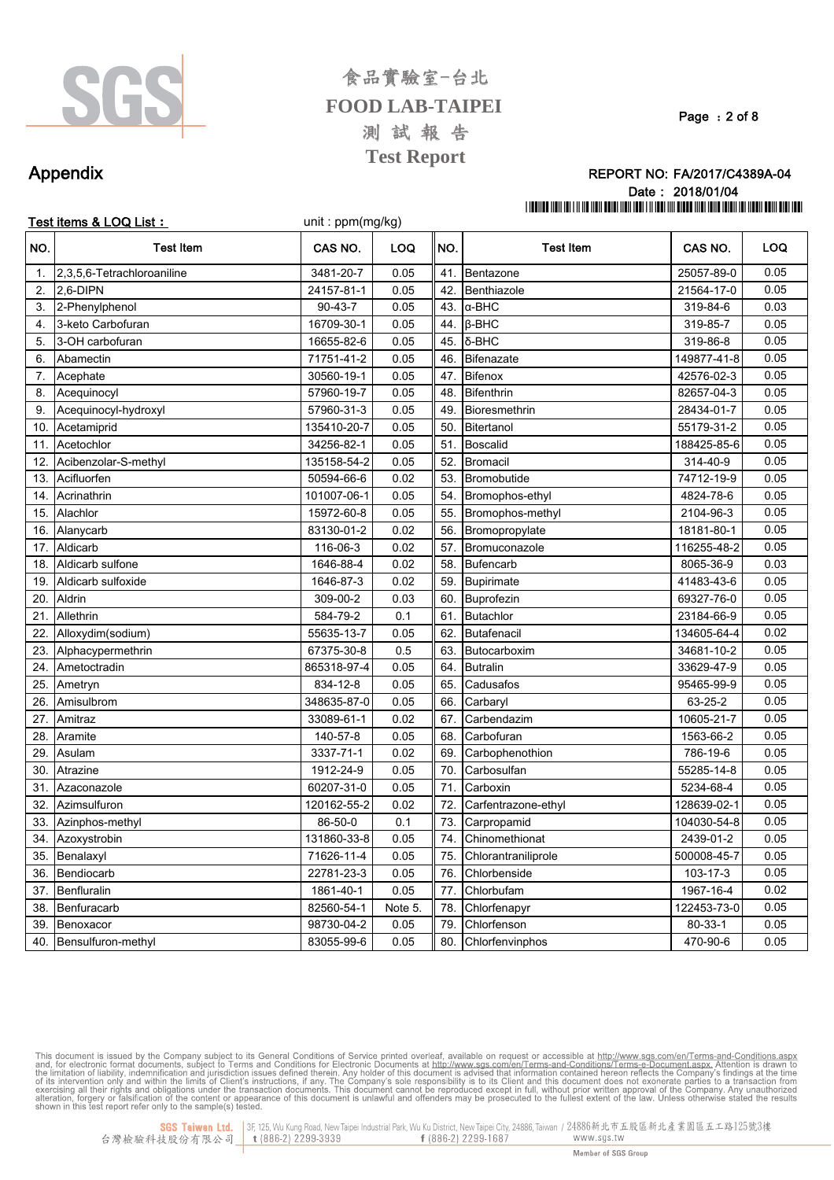

Page: 2 of 8

## Appendix

#### REPORT NO: FA/2017/C4389A-04 Date: 2018/01/04 THE THE THE THE REAL PROPERTY IS A 1990 FOR THE THE THE THE REAL PROPERTY OF THE THE THE THE THE THE THE THE T

|                | Test items & LOQ List :    | unit: ppm(mg/kg) |         |     |                     |               |      |
|----------------|----------------------------|------------------|---------|-----|---------------------|---------------|------|
| NO.            | <b>Test Item</b>           | CAS NO.          | LOQ     | NO. | <b>Test Item</b>    | CAS NO.       | LOQ  |
| $\mathbf{1}$ . | 2,3,5,6-Tetrachloroaniline | 3481-20-7        | 0.05    | 41. | Bentazone           | 25057-89-0    | 0.05 |
| 2.             | 2.6-DIPN                   | 24157-81-1       | 0.05    | 42. | Benthiazole         | 21564-17-0    | 0.05 |
| 3.             | 2-Phenylphenol             | $90 - 43 - 7$    | 0.05    | 43. | $\alpha$ -BHC       | 319-84-6      | 0.03 |
| 4.             | 3-keto Carbofuran          | 16709-30-1       | 0.05    | 44. | $\beta$ -BHC        | 319-85-7      | 0.05 |
| 5.             | 3-OH carbofuran            | 16655-82-6       | 0.05    | 45. | δ-BHC               | 319-86-8      | 0.05 |
| 6.             | Abamectin                  | 71751-41-2       | 0.05    | 46. | <b>Bifenazate</b>   | 149877-41-8   | 0.05 |
| 7.             | Acephate                   | 30560-19-1       | 0.05    | 47. | <b>Bifenox</b>      | 42576-02-3    | 0.05 |
| 8.             | Acequinocyl                | 57960-19-7       | 0.05    | 48. | <b>Bifenthrin</b>   | 82657-04-3    | 0.05 |
| 9.             | Acequinocyl-hydroxyl       | 57960-31-3       | 0.05    | 49. | Bioresmethrin       | 28434-01-7    | 0.05 |
| 10.            | Acetamiprid                | 135410-20-7      | 0.05    | 50. | Bitertanol          | 55179-31-2    | 0.05 |
| 11.            | Acetochlor                 | 34256-82-1       | 0.05    | 51. | <b>Boscalid</b>     | 188425-85-6   | 0.05 |
| 12.            | Acibenzolar-S-methyl       | 135158-54-2      | 0.05    | 52. | <b>Bromacil</b>     | 314-40-9      | 0.05 |
| 13.            | Acifluorfen                | 50594-66-6       | 0.02    | 53. | Bromobutide         | 74712-19-9    | 0.05 |
| 14.            | Acrinathrin                | 101007-06-1      | 0.05    | 54. | Bromophos-ethyl     | 4824-78-6     | 0.05 |
| 15.            | Alachlor                   | 15972-60-8       | 0.05    | 55. | Bromophos-methyl    | 2104-96-3     | 0.05 |
| 16.            | Alanycarb                  | 83130-01-2       | 0.02    | 56. | Bromopropylate      | 18181-80-1    | 0.05 |
| 17.            | Aldicarb                   | 116-06-3         | 0.02    | 57. | Bromuconazole       | 116255-48-2   | 0.05 |
| 18.            | Aldicarb sulfone           | 1646-88-4        | 0.02    | 58. | <b>Bufencarb</b>    | 8065-36-9     | 0.03 |
| 19.            | Aldicarb sulfoxide         | 1646-87-3        | 0.02    | 59. | <b>Bupirimate</b>   | 41483-43-6    | 0.05 |
| 20.            | Aldrin                     | 309-00-2         | 0.03    | 60. | Buprofezin          | 69327-76-0    | 0.05 |
| 21.            | Allethrin                  | 584-79-2         | 0.1     | 61. | <b>Butachlor</b>    | 23184-66-9    | 0.05 |
| 22.            | Alloxydim(sodium)          | 55635-13-7       | 0.05    | 62. | Butafenacil         | 134605-64-4   | 0.02 |
| 23.            | Alphacypermethrin          | 67375-30-8       | 0.5     | 63. | Butocarboxim        | 34681-10-2    | 0.05 |
| 24.            | Ametoctradin               | 865318-97-4      | 0.05    | 64. | <b>Butralin</b>     | 33629-47-9    | 0.05 |
| 25.            | Ametryn                    | 834-12-8         | 0.05    | 65. | Cadusafos           | 95465-99-9    | 0.05 |
| 26.            | Amisulbrom                 | 348635-87-0      | 0.05    | 66. | Carbaryl            | 63-25-2       | 0.05 |
| 27.            | Amitraz                    | 33089-61-1       | 0.02    | 67. | Carbendazim         | 10605-21-7    | 0.05 |
| 28             | Aramite                    | 140-57-8         | 0.05    | 68. | Carbofuran          | 1563-66-2     | 0.05 |
| 29.            | Asulam                     | 3337-71-1        | 0.02    | 69. | Carbophenothion     | 786-19-6      | 0.05 |
| 30.            | Atrazine                   | 1912-24-9        | 0.05    | 70. | Carbosulfan         | 55285-14-8    | 0.05 |
| 31.            | Azaconazole                | 60207-31-0       | 0.05    | 71. | Carboxin            | 5234-68-4     | 0.05 |
| 32.            | Azimsulfuron               | 120162-55-2      | 0.02    | 72. | Carfentrazone-ethyl | 128639-02-1   | 0.05 |
| 33.            | Azinphos-methyl            | 86-50-0          | 0.1     | 73. | Carpropamid         | 104030-54-8   | 0.05 |
| 34.            | Azoxystrobin               | 131860-33-8      | 0.05    | 74. | Chinomethionat      | 2439-01-2     | 0.05 |
| 35.            | Benalaxyl                  | 71626-11-4       | 0.05    | 75. | Chlorantraniliprole | 500008-45-7   | 0.05 |
| 36.            | Bendiocarb                 | 22781-23-3       | 0.05    | 76. | Chlorbenside        | 103-17-3      | 0.05 |
| 37.            | Benfluralin                | 1861-40-1        | 0.05    | 77. | Chlorbufam          | 1967-16-4     | 0.02 |
| 38.            | Benfuracarb                | 82560-54-1       | Note 5. | 78. | Chlorfenapyr        | 122453-73-0   | 0.05 |
| 39.            | Benoxacor                  | 98730-04-2       | 0.05    | 79. | Chlorfenson         | $80 - 33 - 1$ | 0.05 |
| 40             | Bensulfuron-methyl         | 83055-99-6       | 0.05    | 80  | Chlorfenvinnhos     | 470-90-6      | 0.05 |

This document is issued by the Company subject to its General Conditions of Service printed overleaf, available on request or accessible at http://www.sgs.com/en/Terms-and-Conditions.aspx. and, for electronic format docume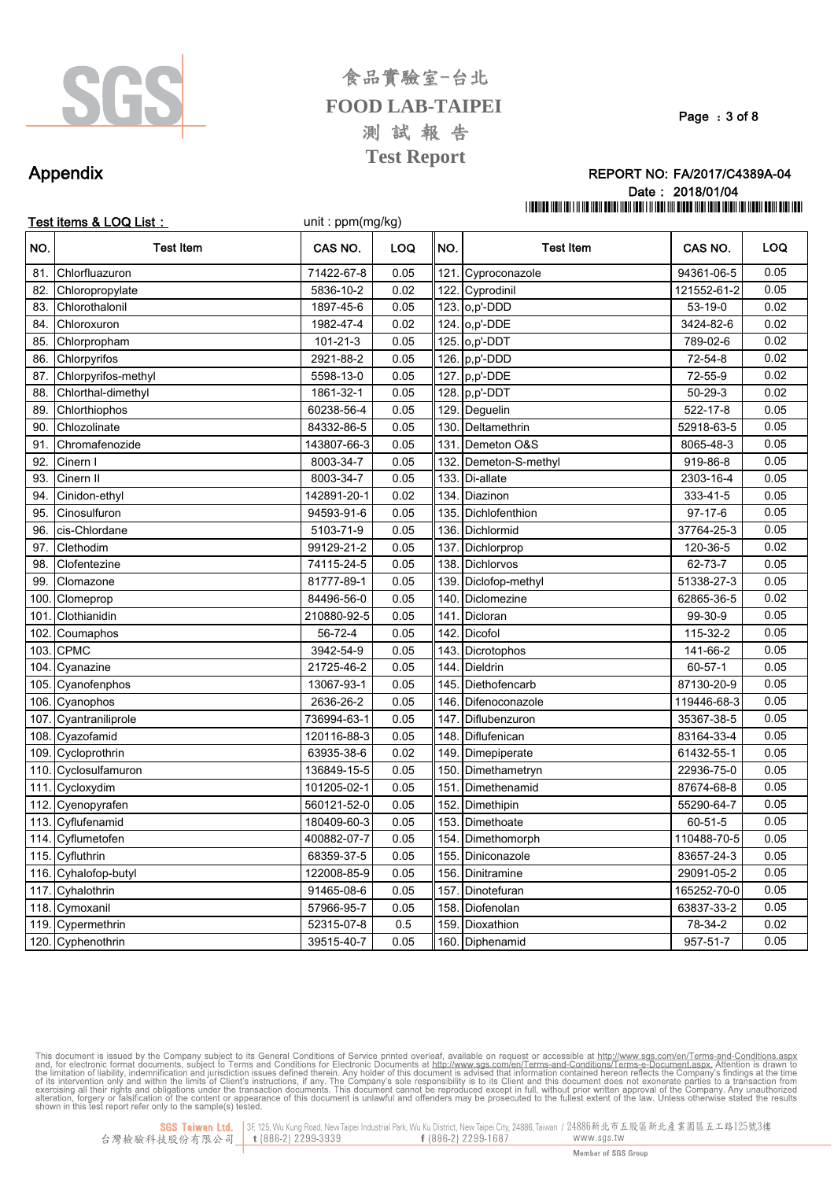

#### Page: 3 of 8

### REPORT NO: FA/2017/C4389A-04 Date: 2018/01/04 THE THE THE THE REAL PROPERTY IS A 1990 FOR THE THE THE THE REAL PROPERTY OF THE THE THE THE THE THE THE THE T

### Appendix

|      | Test items & LOQ List: | unit: ppm(mg/kg) |      |      |                   |               |      |
|------|------------------------|------------------|------|------|-------------------|---------------|------|
| NO.  | <b>Test Item</b>       | CAS NO.          | LOQ  | NO.  | <b>Test Item</b>  | CAS NO.       | LOQ  |
| 81.  | Chlorfluazuron         | 71422-67-8       | 0.05 | 121. | Cyproconazole     | 94361-06-5    | 0.05 |
| 82.  | Chloropropylate        | 5836-10-2        | 0.02 | 122. | Cyprodinil        | 121552-61-2   | 0.05 |
| 83.  | Chlorothalonil         | 1897-45-6        | 0.05 |      | 123. 0, p'-DDD    | $53-19-0$     | 0.02 |
| 84.  | Chloroxuron            | 1982-47-4        | 0.02 |      | 124. 0,p'-DDE     | 3424-82-6     | 0.02 |
| 85   | Chlorpropham           | $101 - 21 - 3$   | 0.05 |      | 125. o,p'-DDT     | 789-02-6      | 0.02 |
| 86.  | Chlorpyrifos           | 2921-88-2        | 0.05 |      | 126. $p, p'$ -DDD | 72-54-8       | 0.02 |
| 87   | Chlorpyrifos-methyl    | 5598-13-0        | 0.05 | 127. | p,p'-DDE          | 72-55-9       | 0.02 |
| 88   | Chlorthal-dimethyl     | 1861-32-1        | 0.05 | 128. | p,p'-DDT          | $50 - 29 - 3$ | 0.02 |
| 89   | Chlorthiophos          | 60238-56-4       | 0.05 | 129. | Deguelin          | 522-17-8      | 0.05 |
| 90   | Chlozolinate           | 84332-86-5       | 0.05 | 130. | Deltamethrin      | 52918-63-5    | 0.05 |
| 91   | Chromafenozide         | 143807-66-3      | 0.05 | 131  | Demeton O&S       | 8065-48-3     | 0.05 |
| 92   | Cinern I               | 8003-34-7        | 0.05 | 132  | Demeton-S-methyl  | 919-86-8      | 0.05 |
| 93.  | Cinern II              | 8003-34-7        | 0.05 | 133. | Di-allate         | 2303-16-4     | 0.05 |
| 94   | Cinidon-ethyl          | 142891-20-1      | 0.02 | 134. | Diazinon          | 333-41-5      | 0.05 |
| 95   | Cinosulfuron           | 94593-91-6       | 0.05 | 135  | Dichlofenthion    | $97 - 17 - 6$ | 0.05 |
| 96.  | cis-Chlordane          | 5103-71-9        | 0.05 | 136. | Dichlormid        | 37764-25-3    | 0.05 |
| 97.  | Clethodim              | 99129-21-2       | 0.05 | 137  | Dichlorprop       | 120-36-5      | 0.02 |
| 98   | Clofentezine           | 74115-24-5       | 0.05 | 138  | Dichlorvos        | 62-73-7       | 0.05 |
| 99   | Clomazone              | 81777-89-1       | 0.05 | 139  | Diclofop-methyl   | 51338-27-3    | 0.05 |
| 100  | Clomeprop              | 84496-56-0       | 0.05 | 140  | Diclomezine       | 62865-36-5    | 0.02 |
| 101  | Clothianidin           | 210880-92-5      | 0.05 | 141  | Dicloran          | 99-30-9       | 0.05 |
| 102  | Coumaphos              | 56-72-4          | 0.05 | 142  | Dicofol           | 115-32-2      | 0.05 |
| 103  | <b>CPMC</b>            | 3942-54-9        | 0.05 | 143  | Dicrotophos       | 141-66-2      | 0.05 |
| 104. | Cyanazine              | 21725-46-2       | 0.05 | 144  | Dieldrin          | $60 - 57 - 1$ | 0.05 |
| 105  | Cyanofenphos           | 13067-93-1       | 0.05 | 145  | Diethofencarb     | 87130-20-9    | 0.05 |
| 106. | Cyanophos              | 2636-26-2        | 0.05 | 146  | Difenoconazole    | 119446-68-3   | 0.05 |
| 107  | Cyantraniliprole       | 736994-63-1      | 0.05 | 147  | Diflubenzuron     | 35367-38-5    | 0.05 |
| 108  | Cyazofamid             | 120116-88-3      | 0.05 | 148  | Diflufenican      | 83164-33-4    | 0.05 |
| 109. | Cycloprothrin          | 63935-38-6       | 0.02 | 149  | Dimepiperate      | 61432-55-1    | 0.05 |
| 110. | Cyclosulfamuron        | 136849-15-5      | 0.05 | 150  | Dimethametryn     | 22936-75-0    | 0.05 |
| 111  | Cycloxydim             | 101205-02-1      | 0.05 | 151  | Dimethenamid      | 87674-68-8    | 0.05 |
| 112. | Cyenopyrafen           | 560121-52-0      | 0.05 | 152  | Dimethipin        | 55290-64-7    | 0.05 |
| 113. | Cyflufenamid           | 180409-60-3      | 0.05 | 153  | Dimethoate        | 60-51-5       | 0.05 |
| 114. | Cyflumetofen           | 400882-07-7      | 0.05 | 154  | Dimethomorph      | 110488-70-5   | 0.05 |
| 115. | Cyfluthrin             | 68359-37-5       | 0.05 | 155  | Diniconazole      | 83657-24-3    | 0.05 |
| 116. | Cyhalofop-butyl        | 122008-85-9      | 0.05 | 156  | Dinitramine       | 29091-05-2    | 0.05 |
| 117  | Cyhalothrin            | 91465-08-6       | 0.05 | 157  | Dinotefuran       | 165252-70-0   | 0.05 |
| 118. | Cymoxanil              | 57966-95-7       | 0.05 | 158  | Diofenolan        | 63837-33-2    | 0.05 |
| 119. | Cypermethrin           | 52315-07-8       | 0.5  | 159  | Dioxathion        | 78-34-2       | 0.02 |
|      | 120. Cyphenothrin      | 39515-40-7       | 0.05 |      | 160. Diphenamid   | 957-51-7      | 0.05 |

This document is issued by the Company subject to its General Conditions of Service printed overleaf, available on request or accessible at http://www.sgs.com/en/Terms-and-Conditions.aspx. Attention is drawn to and, for el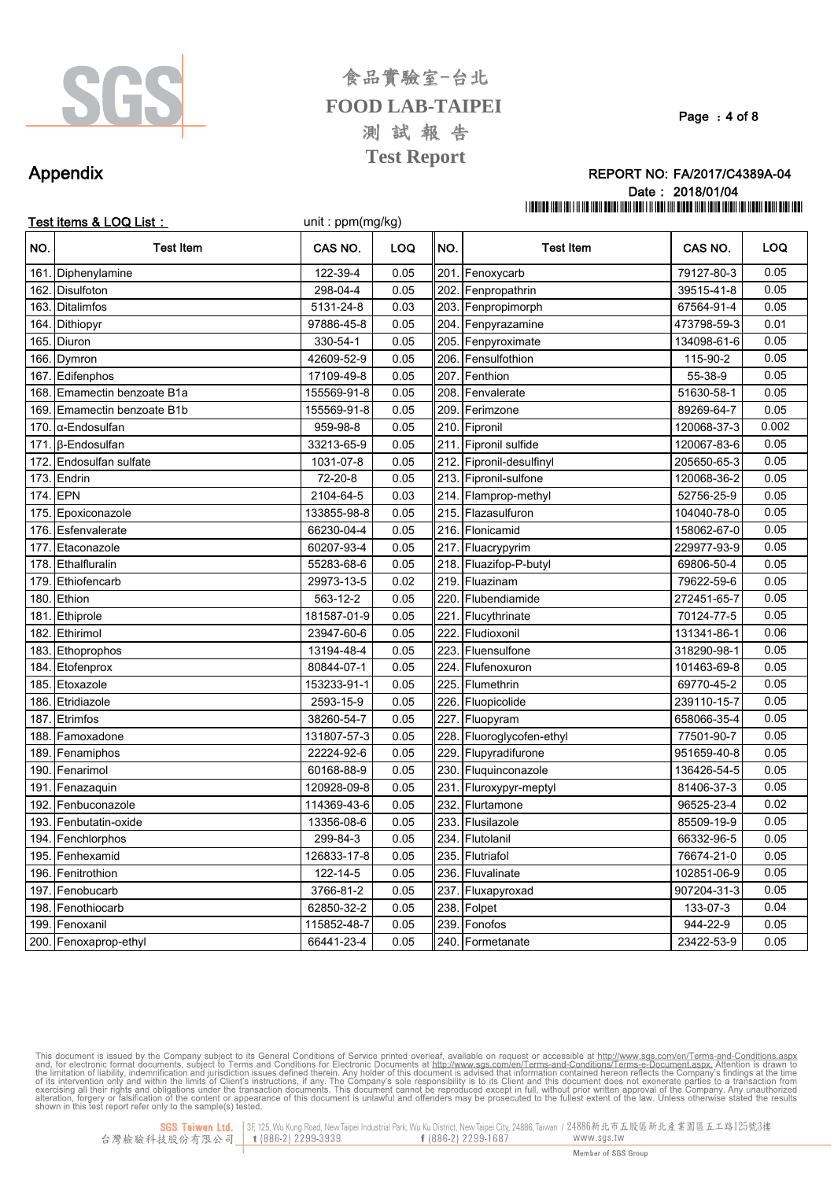

Page: 4 of 8

#### REPORT NO: FA/2017/C4389A-04 Date: 2018/01/04 THE THE THE THE REAL PROPERTY IS A 1990 FOR THE THE THE THE REAL PROPERTY OF THE THE THE THE THE THE THE THE T

### Appendix

|      | Test items & LOQ List: | unit: ppm(mg/kg) |            |      |                          |             |            |
|------|------------------------|------------------|------------|------|--------------------------|-------------|------------|
| NO.  | <b>Test Item</b>       | CAS NO.          | <b>LOQ</b> | INO. | <b>Test Item</b>         | CAS NO.     | <b>LOQ</b> |
| 161. | Diphenylamine          | 122-39-4         | 0.05       |      | 201. Fenoxycarb          | 79127-80-3  | 0.05       |
| 162  | <b>Disulfoton</b>      | 298-04-4         | 0.05       |      | 202. Fenpropathrin       | 39515-41-8  | 0.05       |
| 163. | <b>Ditalimfos</b>      | 5131-24-8        | 0.03       | 203. | Fenpropimorph            | 67564-91-4  | 0.05       |
| 164  | Dithiopyr              | 97886-45-8       | 0.05       | 204. | Fenpyrazamine            | 473798-59-3 | 0.01       |
| 165  | Diuron                 | 330-54-1         | 0.05       | 205. | Fenpyroximate            | 134098-61-6 | 0.05       |
| 166. | Dymron                 | 42609-52-9       | 0.05       | 206. | Fensulfothion            | 115-90-2    | 0.05       |
|      | 167. Edifenphos        | 17109-49-8       | 0.05       | 207. | Fenthion                 | 55-38-9     | 0.05       |
| 168. | Emamectin benzoate B1a | 155569-91-8      | 0.05       | 208. | Fenvalerate              | 51630-58-1  | 0.05       |
| 169. | Emamectin benzoate B1b | 155569-91-8      | 0.05       | 209  | Ferimzone                | 89269-64-7  | 0.05       |
| 170. | $\alpha$ -Endosulfan   | 959-98-8         | 0.05       | 210. | Fipronil                 | 120068-37-3 | 0.002      |
| 171  | β-Endosulfan           | 33213-65-9       | 0.05       | 211. | Fipronil sulfide         | 120067-83-6 | 0.05       |
| 172. | Endosulfan sulfate     | 1031-07-8        | 0.05       |      | 212. Fipronil-desulfinyl | 205650-65-3 | 0.05       |
| 173. | Endrin                 | 72-20-8          | 0.05       |      | 213. Fipronil-sulfone    | 120068-36-2 | 0.05       |
|      | 174. EPN               | 2104-64-5        | 0.03       |      | 214. Flamprop-methyl     | 52756-25-9  | 0.05       |
| 175. | Epoxiconazole          | 133855-98-8      | 0.05       |      | 215. Flazasulfuron       | 104040-78-0 | 0.05       |
| 176. | Esfenvalerate          | 66230-04-4       | 0.05       |      | 216. Flonicamid          | 158062-67-0 | 0.05       |
| 177  | Etaconazole            | 60207-93-4       | 0.05       |      | 217. Fluacrypyrim        | 229977-93-9 | 0.05       |
| 178. | Ethalfluralin          | 55283-68-6       | 0.05       |      | 218. Fluazifop-P-butyl   | 69806-50-4  | 0.05       |
| 179  | Ethiofencarb           | 29973-13-5       | 0.02       | 219. | Fluazinam                | 79622-59-6  | 0.05       |
| 180. | Ethion                 | 563-12-2         | 0.05       | 220. | Flubendiamide            | 272451-65-7 | 0.05       |
| 181  | Ethiprole              | 181587-01-9      | 0.05       | 221. | Flucythrinate            | 70124-77-5  | 0.05       |
| 182. | Ethirimol              | 23947-60-6       | 0.05       | 222. | Fludioxonil              | 131341-86-1 | 0.06       |
| 183. | Ethoprophos            | 13194-48-4       | 0.05       | 223  | Fluensulfone             | 318290-98-1 | 0.05       |
| 184. | Etofenprox             | 80844-07-1       | 0.05       | 224  | Flufenoxuron             | 101463-69-8 | 0.05       |
| 185. | Etoxazole              | 153233-91-1      | 0.05       | 225. | Flumethrin               | 69770-45-2  | 0.05       |
| 186  | Etridiazole            | 2593-15-9        | 0.05       | 226. | Fluopicolide             | 239110-15-7 | 0.05       |
| 187. | Etrimfos               | 38260-54-7       | 0.05       |      | 227. Fluopyram           | 658066-35-4 | 0.05       |
| 188. | Famoxadone             | 131807-57-3      | 0.05       | 228. | Fluoroglycofen-ethyl     | 77501-90-7  | 0.05       |
| 189. | Fenamiphos             | 22224-92-6       | 0.05       | 229. | Flupyradifurone          | 951659-40-8 | 0.05       |
| 190  | Fenarimol              | 60168-88-9       | 0.05       | 230. | Fluquinconazole          | 136426-54-5 | 0.05       |
| 191  | Fenazaquin             | 120928-09-8      | 0.05       | 231. | Fluroxypyr-meptyl        | 81406-37-3  | 0.05       |
| 192. | Fenbuconazole          | 114369-43-6      | 0.05       | 232. | Flurtamone               | 96525-23-4  | 0.02       |
|      | 193. Fenbutatin-oxide  | 13356-08-6       | 0.05       |      | 233. Flusilazole         | 85509-19-9  | 0.05       |
|      | 194. Fenchlorphos      | 299-84-3         | 0.05       |      | 234. Flutolanil          | 66332-96-5  | 0.05       |
|      | 195. Fenhexamid        | 126833-17-8      | 0.05       |      | 235. Flutriafol          | 76674-21-0  | 0.05       |
|      | 196. Fenitrothion      | 122-14-5         | 0.05       |      | 236. Fluvalinate         | 102851-06-9 | 0.05       |
|      | 197. Fenobucarb        | 3766-81-2        | 0.05       |      | 237. Fluxapyroxad        | 907204-31-3 | 0.05       |
|      | 198. Fenothiocarb      | 62850-32-2       | 0.05       |      | 238. Folpet              | 133-07-3    | 0.04       |
|      | 199. Fenoxanil         | 115852-48-7      | 0.05       | 239. | Fonofos                  | 944-22-9    | 0.05       |
|      | 200. Fenoxaprop-ethyl  | 66441-23-4       | 0.05       |      | 240. Formetanate         | 23422-53-9  | 0.05       |

This document is issued by the Company subject to its General Conditions of Service printed overleaf, available on request or accessible at http://www.sgs.com/en/Terms-and-Conditions.aspx. Attention is drawn to and, for el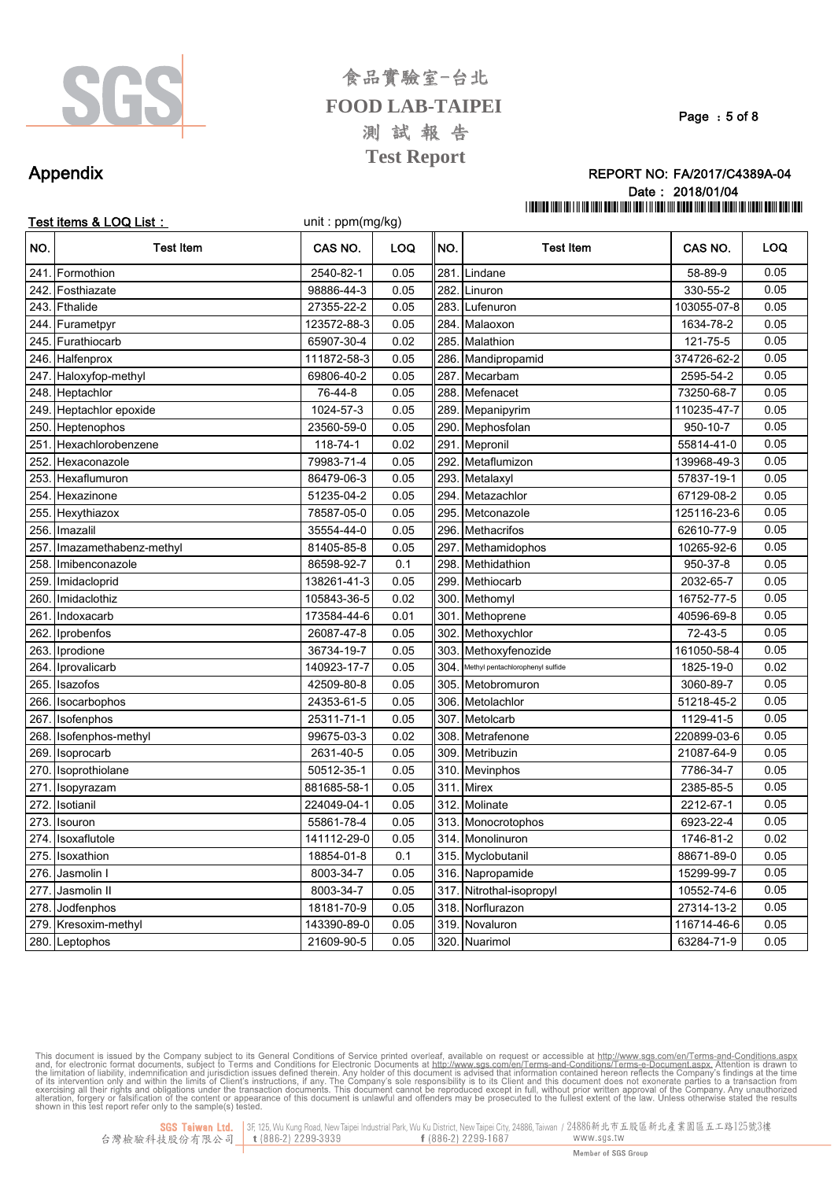

Page: 5 of 8

### Appendix

#### REPORT NO: FA/2017/C4389A-04 Date: 2018/01/04 THE THE THE THE REAL PROPERTY IS A 1990 FOR THE THE THE THE REAL PROPERTY OF THE THE THE THE THE THE THE THE T

|      | Test items & LOQ List: | unit: ppm(mg/kg) |            |      |                                  |             |            |
|------|------------------------|------------------|------------|------|----------------------------------|-------------|------------|
| NO.  | <b>Test Item</b>       | CAS NO.          | <b>LOQ</b> | NO.  | <b>Test Item</b>                 | CAS NO.     | <b>LOQ</b> |
| 241. | Formothion             | 2540-82-1        | 0.05       | 281  | Lindane                          | 58-89-9     | 0.05       |
| 242. | Fosthiazate            | 98886-44-3       | 0.05       | 282  | Linuron                          | 330-55-2    | 0.05       |
| 243. | Fthalide               | 27355-22-2       | 0.05       | 283  | Lufenuron                        | 103055-07-8 | 0.05       |
| 244. | Furametpyr             | 123572-88-3      | 0.05       | 284  | Malaoxon                         | 1634-78-2   | 0.05       |
| 245. | Furathiocarb           | 65907-30-4       | 0.02       | 285  | Malathion                        | 121-75-5    | 0.05       |
| 246. | Halfenprox             | 111872-58-3      | 0.05       | 286  | Mandipropamid                    | 374726-62-2 | 0.05       |
| 247. | Haloxyfop-methyl       | 69806-40-2       | 0.05       | 287  | Mecarbam                         | 2595-54-2   | 0.05       |
| 248. | Heptachlor             | 76-44-8          | 0.05       | 288  | Mefenacet                        | 73250-68-7  | 0.05       |
| 249. | Heptachlor epoxide     | 1024-57-3        | 0.05       | 289  | Mepanipyrim                      | 110235-47-7 | 0.05       |
| 250. | Heptenophos            | 23560-59-0       | 0.05       | 290  | Mephosfolan                      | 950-10-7    | 0.05       |
| 251. | Hexachlorobenzene      | 118-74-1         | 0.02       | 291  | Mepronil                         | 55814-41-0  | 0.05       |
| 252. | Hexaconazole           | 79983-71-4       | 0.05       | 292  | Metaflumizon                     | 139968-49-3 | 0.05       |
| 253. | Hexaflumuron           | 86479-06-3       | 0.05       | 293. | Metalaxyl                        | 57837-19-1  | 0.05       |
| 254. | Hexazinone             | 51235-04-2       | 0.05       | 294. | Metazachlor                      | 67129-08-2  | 0.05       |
| 255. | Hexythiazox            | 78587-05-0       | 0.05       | 295  | Metconazole                      | 125116-23-6 | 0.05       |
| 256. | Imazalil               | 35554-44-0       | 0.05       | 296  | <b>Methacrifos</b>               | 62610-77-9  | 0.05       |
| 257. | Imazamethabenz-methyl  | 81405-85-8       | 0.05       | 297. | Methamidophos                    | 10265-92-6  | 0.05       |
| 258. | Imibenconazole         | 86598-92-7       | 0.1        | 298  | Methidathion                     | 950-37-8    | 0.05       |
| 259  | Imidacloprid           | 138261-41-3      | 0.05       | 299  | Methiocarb                       | 2032-65-7   | 0.05       |
| 260  | Imidaclothiz           | 105843-36-5      | 0.02       | 300  | Methomyl                         | 16752-77-5  | 0.05       |
| 261  | Indoxacarb             | 173584-44-6      | 0.01       | 301  | Methoprene                       | 40596-69-8  | 0.05       |
| 262  | Iprobenfos             | 26087-47-8       | 0.05       | 302. | Methoxychlor                     | 72-43-5     | 0.05       |
| 263. | Iprodione              | 36734-19-7       | 0.05       | 303  | Methoxyfenozide                  | 161050-58-4 | 0.05       |
| 264  | Iprovalicarb           | 140923-17-7      | 0.05       | 304  | Methyl pentachlorophenyl sulfide | 1825-19-0   | 0.02       |
| 265. | Isazofos               | 42509-80-8       | 0.05       | 305. | Metobromuron                     | 3060-89-7   | 0.05       |
| 266. | Isocarbophos           | 24353-61-5       | 0.05       | 306  | Metolachlor                      | 51218-45-2  | 0.05       |
|      | 267. Isofenphos        | 25311-71-1       | 0.05       | 307  | Metolcarb                        | 1129-41-5   | 0.05       |
| 268. | Isofenphos-methyl      | 99675-03-3       | 0.02       | 308  | Metrafenone                      | 220899-03-6 | 0.05       |
| 269. | Isoprocarb             | 2631-40-5        | 0.05       | 309  | Metribuzin                       | 21087-64-9  | 0.05       |
| 270. | Isoprothiolane         | 50512-35-1       | 0.05       | 310  | <b>Mevinphos</b>                 | 7786-34-7   | 0.05       |
| 271. | Isopyrazam             | 881685-58-1      | 0.05       | 311  | <b>Mirex</b>                     | 2385-85-5   | 0.05       |
| 272  | Isotianil              | 224049-04-1      | 0.05       | 312  | Molinate                         | 2212-67-1   | 0.05       |
| 273. | Isouron                | 55861-78-4       | 0.05       | 313  | Monocrotophos                    | 6923-22-4   | 0.05       |
| 274  | Isoxaflutole           | 141112-29-0      | 0.05       | 314. | Monolinuron                      | 1746-81-2   | 0.02       |
| 275. | Isoxathion             | 18854-01-8       | 0.1        | 315  | Myclobutanil                     | 88671-89-0  | 0.05       |
| 276. | Jasmolin I             | 8003-34-7        | 0.05       | 316. | Napropamide                      | 15299-99-7  | 0.05       |
| 277. | Jasmolin II            | 8003-34-7        | 0.05       | 317. | Nitrothal-isopropyl              | 10552-74-6  | 0.05       |
| 278. | Jodfenphos             | 18181-70-9       | 0.05       | 318  | Norflurazon                      | 27314-13-2  | 0.05       |
| 279. | Kresoxim-methyl        | 143390-89-0      | 0.05       |      | 319. Novaluron                   | 116714-46-6 | 0.05       |
|      | 280 Leptophos          | 21609-90-5       | 0.05       |      | 320 Nuarimol                     | 63284-71-9  | 0.05       |

This document is issued by the Company subject to its General Conditions of Service printed overleaf, available on request or accessible at http://www.sgs.com/en/Terms-and-Conditions.aspx. and, for electronic format docume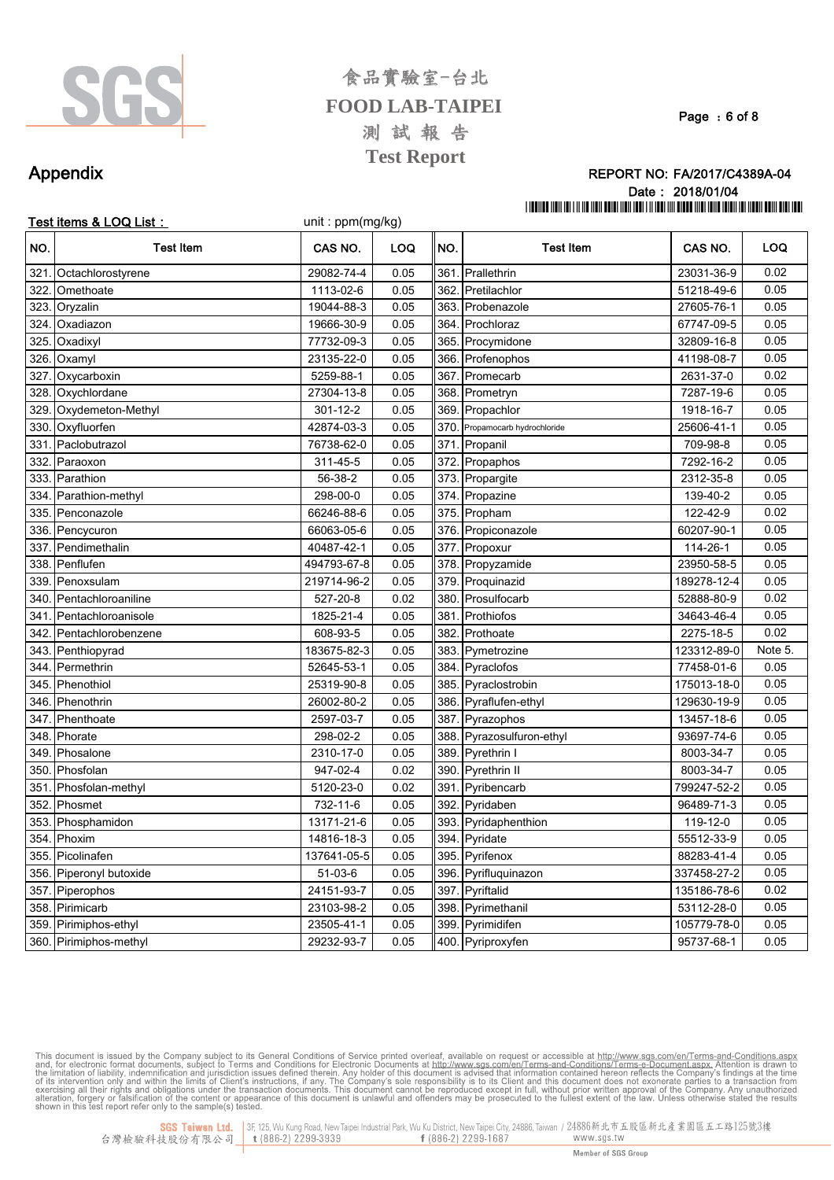

Page: 6 of 8

### Appendix

### REPORT NO: FA/2017/C4389A-04 Date: 2018/01/04 THE THE THE THE REAL PROPERTY IS A 1990 FOR THE THE THE THE REAL PROPERTY OF THE THE THE THE THE THE THE THE T

|      | Test items & LOQ List : | unit: ppm(mg/kg) |            |      |                           |             |            |
|------|-------------------------|------------------|------------|------|---------------------------|-------------|------------|
| NO.  | <b>Test Item</b>        | CAS NO.          | <b>LOQ</b> | NO.  | <b>Test Item</b>          | CAS NO.     | <b>LOQ</b> |
| 321  | Octachlorostyrene       | 29082-74-4       | 0.05       | 361. | Prallethrin               | 23031-36-9  | 0.02       |
| 322. | Omethoate               | 1113-02-6        | 0.05       | 362. | Pretilachlor              | 51218-49-6  | 0.05       |
| 323  | Oryzalin                | 19044-88-3       | 0.05       | 363. | Probenazole               | 27605-76-1  | 0.05       |
| 324  | Oxadiazon               | 19666-30-9       | 0.05       | 364. | Prochloraz                | 67747-09-5  | 0.05       |
| 325  | Oxadixyl                | 77732-09-3       | 0.05       | 365. | Procymidone               | 32809-16-8  | 0.05       |
| 326. | Oxamyl                  | 23135-22-0       | 0.05       | 366. | Profenophos               | 41198-08-7  | 0.05       |
| 327  | Oxycarboxin             | 5259-88-1        | 0.05       | 367. | Promecarb                 | 2631-37-0   | 0.02       |
| 328. | Oxychlordane            | 27304-13-8       | 0.05       | 368. | Prometryn                 | 7287-19-6   | 0.05       |
| 329. | Oxydemeton-Methyl       | 301-12-2         | 0.05       | 369. | Propachlor                | 1918-16-7   | 0.05       |
| 330. | Oxyfluorfen             | 42874-03-3       | 0.05       | 370. | Propamocarb hydrochloride | 25606-41-1  | 0.05       |
| 331  | Paclobutrazol           | 76738-62-0       | 0.05       | 371. | Propanil                  | 709-98-8    | 0.05       |
| 332  | Paraoxon                | 311-45-5         | 0.05       |      | 372. Propaphos            | 7292-16-2   | 0.05       |
| 333. | Parathion               | 56-38-2          | 0.05       |      | 373. Propargite           | 2312-35-8   | 0.05       |
| 334. | Parathion-methyl        | 298-00-0         | 0.05       |      | 374. Propazine            | 139-40-2    | 0.05       |
| 335. | Penconazole             | 66246-88-6       | 0.05       |      | 375. Propham              | 122-42-9    | 0.02       |
| 336. | Pencycuron              | 66063-05-6       | 0.05       |      | 376. Propiconazole        | 60207-90-1  | 0.05       |
| 337  | Pendimethalin           | 40487-42-1       | 0.05       |      | 377. Propoxur             | 114-26-1    | 0.05       |
| 338. | Penflufen               | 494793-67-8      | 0.05       |      | 378. Propyzamide          | 23950-58-5  | 0.05       |
| 339  | Penoxsulam              | 219714-96-2      | 0.05       | 379. | Proquinazid               | 189278-12-4 | 0.05       |
| 340. | Pentachloroaniline      | 527-20-8         | 0.02       | 380. | Prosulfocarb              | 52888-80-9  | 0.02       |
| 341. | Pentachloroanisole      | 1825-21-4        | 0.05       | 381. | Prothiofos                | 34643-46-4  | 0.05       |
| 342. | Pentachlorobenzene      | 608-93-5         | 0.05       | 382. | Prothoate                 | 2275-18-5   | 0.02       |
| 343. | Penthiopyrad            | 183675-82-3      | 0.05       | 383. | Pymetrozine               | 123312-89-0 | Note 5.    |
| 344. | Permethrin              | 52645-53-1       | 0.05       | 384. | Pyraclofos                | 77458-01-6  | 0.05       |
| 345. | Phenothiol              | 25319-90-8       | 0.05       | 385. | Pyraclostrobin            | 175013-18-0 | 0.05       |
| 346. | Phenothrin              | 26002-80-2       | 0.05       | 386. | Pyraflufen-ethyl          | 129630-19-9 | 0.05       |
| 347  | Phenthoate              | 2597-03-7        | 0.05       | 387. | Pyrazophos                | 13457-18-6  | 0.05       |
| 348  | Phorate                 | 298-02-2         | 0.05       | 388. | Pyrazosulfuron-ethyl      | 93697-74-6  | 0.05       |
| 349  | Phosalone               | 2310-17-0        | 0.05       | 389. | Pyrethrin I               | 8003-34-7   | 0.05       |
| 350. | Phosfolan               | 947-02-4         | 0.02       |      | 390. Pyrethrin II         | 8003-34-7   | 0.05       |
| 351. | Phosfolan-methyl        | 5120-23-0        | 0.02       | 391. | Pyribencarb               | 799247-52-2 | 0.05       |
| 352  | Phosmet                 | 732-11-6         | 0.05       | 392. | Pyridaben                 | 96489-71-3  | 0.05       |
| 353. | Phosphamidon            | 13171-21-6       | 0.05       | 393. | Pyridaphenthion           | 119-12-0    | 0.05       |
| 354. | Phoxim                  | 14816-18-3       | 0.05       |      | 394. Pyridate             | 55512-33-9  | 0.05       |
| 355. | Picolinafen             | 137641-05-5      | 0.05       | 395. | Pyrifenox                 | 88283-41-4  | 0.05       |
| 356  | Piperonyl butoxide      | $51-03-6$        | 0.05       | 396. | Pyrifluquinazon           | 337458-27-2 | 0.05       |
| 357. | Piperophos              | 24151-93-7       | 0.05       | 397. | Pyriftalid                | 135186-78-6 | 0.02       |
| 358  | Pirimicarb              | 23103-98-2       | 0.05       | 398. | Pyrimethanil              | 53112-28-0  | 0.05       |
| 359. | Pirimiphos-ethyl        | 23505-41-1       | 0.05       |      | 399. Pyrimidifen          | 105779-78-0 | 0.05       |
|      | 360 Piriminhos-methyl   | 29232-93-7       | 0.05       |      | 400 Pyrinroxyfen          | 95737-68-1  | 0.05       |

This document is issued by the Company subject to its General Conditions of Service printed overleaf, available on request or accessible at http://www.sgs.com/en/Terms-and-Conditions.aspx. and, for electronic format docume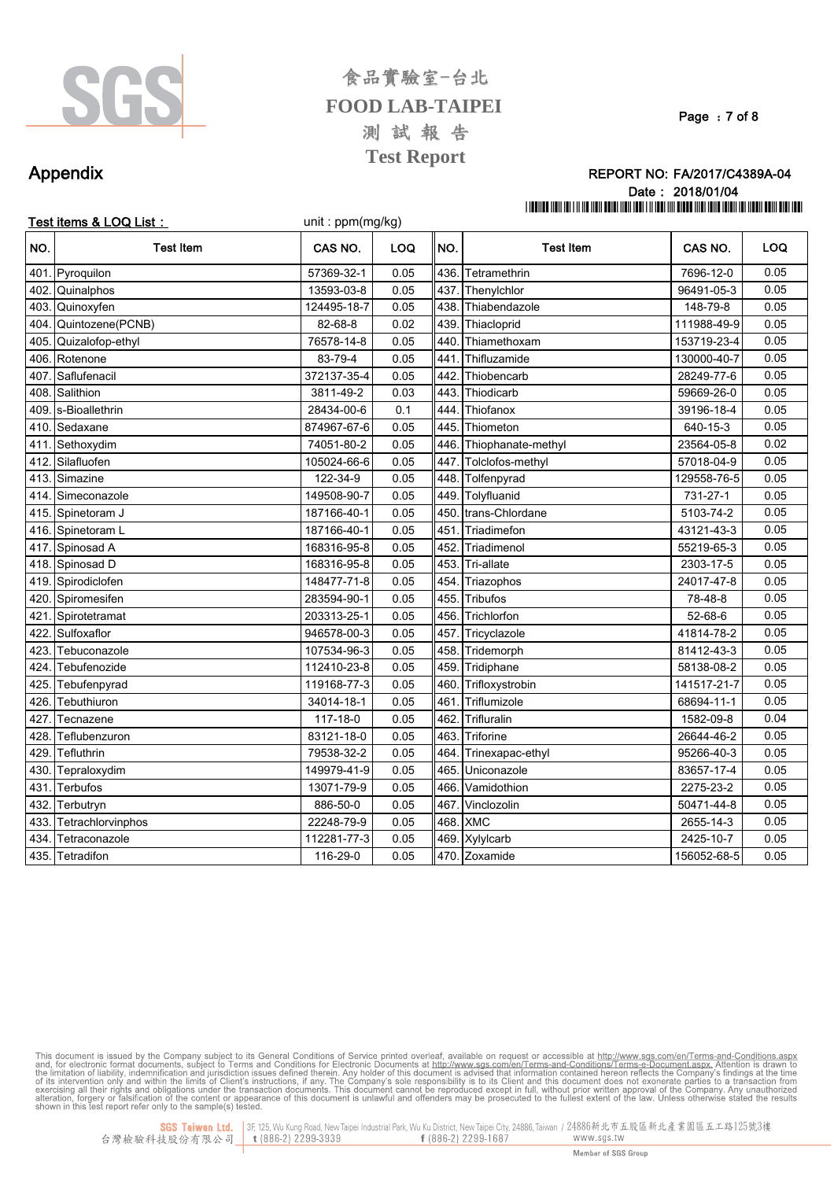

Page: 7 of 8

### Appendix

#### REPORT NO: FA/2017/C4389A-04 Date: 2018/01/04 THE THE THE THE REAL PROPERTY IS A 1990 FOR THE THE THE THE REAL PROPERTY OF THE THE THE THE THE THE THE THE T

|      | Test items & LOQ List: | unit: ppm(mg/kg) |            |      |                    |             |            |
|------|------------------------|------------------|------------|------|--------------------|-------------|------------|
| NO.  | <b>Test Item</b>       | CAS NO.          | <b>LOQ</b> | INO. | <b>Test Item</b>   | CAS NO.     | <b>LOQ</b> |
| 401. | Pyroquilon             | 57369-32-1       | 0.05       | 436. | Tetramethrin       | 7696-12-0   | 0.05       |
| 402. | Quinalphos             | 13593-03-8       | 0.05       |      | 437. Thenylchlor   | 96491-05-3  | 0.05       |
| 403. | Quinoxyfen             | 124495-18-7      | 0.05       | 438. | Thiabendazole      | 148-79-8    | 0.05       |
| 404. | Quintozene(PCNB)       | 82-68-8          | 0.02       | 439. | Thiacloprid        | 111988-49-9 | 0.05       |
| 405  | Quizalofop-ethyl       | 76578-14-8       | 0.05       | 440  | Thiamethoxam       | 153719-23-4 | 0.05       |
| 406  | Rotenone               | 83-79-4          | 0.05       | 441  | Thifluzamide       | 130000-40-7 | 0.05       |
| 407  | Saflufenacil           | 372137-35-4      | 0.05       | 442  | Thiobencarb        | 28249-77-6  | 0.05       |
| 408  | Salithion              | 3811-49-2        | 0.03       | 443  | Thiodicarb         | 59669-26-0  | 0.05       |
| 409  | s-Bioallethrin         | 28434-00-6       | 0.1        | 444  | Thiofanox          | 39196-18-4  | 0.05       |
| 410  | Sedaxane               | 874967-67-6      | 0.05       | 445. | Thiometon          | 640-15-3    | 0.05       |
| 411. | Sethoxydim             | 74051-80-2       | 0.05       | 446. | Thiophanate-methyl | 23564-05-8  | 0.02       |
| 412. | Silafluofen            | 105024-66-6      | 0.05       | 447. | Tolclofos-methyl   | 57018-04-9  | 0.05       |
| 413  | Simazine               | 122-34-9         | 0.05       | 448. | Tolfenpyrad        | 129558-76-5 | 0.05       |
| 414  | Simeconazole           | 149508-90-7      | 0.05       | 449. | Tolyfluanid        | 731-27-1    | 0.05       |
| 415. | Spinetoram J           | 187166-40-1      | 0.05       | 450  | trans-Chlordane    | 5103-74-2   | 0.05       |
| 416. | Spinetoram L           | 187166-40-1      | 0.05       | 451  | Triadimefon        | 43121-43-3  | 0.05       |
| 417  | Spinosad A             | 168316-95-8      | 0.05       | 452  | Triadimenol        | 55219-65-3  | 0.05       |
| 418. | Spinosad D             | 168316-95-8      | 0.05       | 453. | Tri-allate         | 2303-17-5   | 0.05       |
| 419  | Spirodiclofen          | 148477-71-8      | 0.05       | 454  | Triazophos         | 24017-47-8  | 0.05       |
| 420  | Spiromesifen           | 283594-90-1      | 0.05       | 455. | Tribufos           | 78-48-8     | 0.05       |
| 421  | Spirotetramat          | 203313-25-1      | 0.05       | 456. | Trichlorfon        | 52-68-6     | 0.05       |
| 422. | Sulfoxaflor            | 946578-00-3      | 0.05       | 457. | Tricyclazole       | 41814-78-2  | 0.05       |
| 423  | Tebuconazole           | 107534-96-3      | 0.05       | 458. | Tridemorph         | 81412-43-3  | 0.05       |
| 424  | Tebufenozide           | 112410-23-8      | 0.05       | 459. | Tridiphane         | 58138-08-2  | 0.05       |
| 425  | Tebufenpyrad           | 119168-77-3      | 0.05       | 460  | Trifloxystrobin    | 141517-21-7 | 0.05       |
| 426  | Tebuthiuron            | 34014-18-1       | 0.05       | 461  | Triflumizole       | 68694-11-1  | 0.05       |
| 427  | Tecnazene              | 117-18-0         | 0.05       | 462  | Trifluralin        | 1582-09-8   | 0.04       |
| 428  | Teflubenzuron          | 83121-18-0       | 0.05       | 463  | <b>Triforine</b>   | 26644-46-2  | 0.05       |
| 429  | Tefluthrin             | 79538-32-2       | 0.05       | 464  | Trinexapac-ethyl   | 95266-40-3  | 0.05       |
| 430. | Tepraloxydim           | 149979-41-9      | 0.05       | 465. | Uniconazole        | 83657-17-4  | 0.05       |
| 431. | Terbufos               | 13071-79-9       | 0.05       | 466  | Vamidothion        | 2275-23-2   | 0.05       |
| 432  | Terbutryn              | 886-50-0         | 0.05       | 467  | Vinclozolin        | 50471-44-8  | 0.05       |
| 433  | Tetrachlorvinphos      | 22248-79-9       | 0.05       | 468  | <b>XMC</b>         | 2655-14-3   | 0.05       |
| 434  | Tetraconazole          | 112281-77-3      | 0.05       | 469. | Xylylcarb          | 2425-10-7   | 0.05       |
|      | 435. Tetradifon        | 116-29-0         | 0.05       |      | 470. Zoxamide      | 156052-68-5 | 0.05       |

This document is issued by the Company subject to its General Conditions of Service printed overleaf, available on request or accessible at http://www.sgs.com/en/Terms-and-Conditions.aspx. Attention is drawn to and, for el